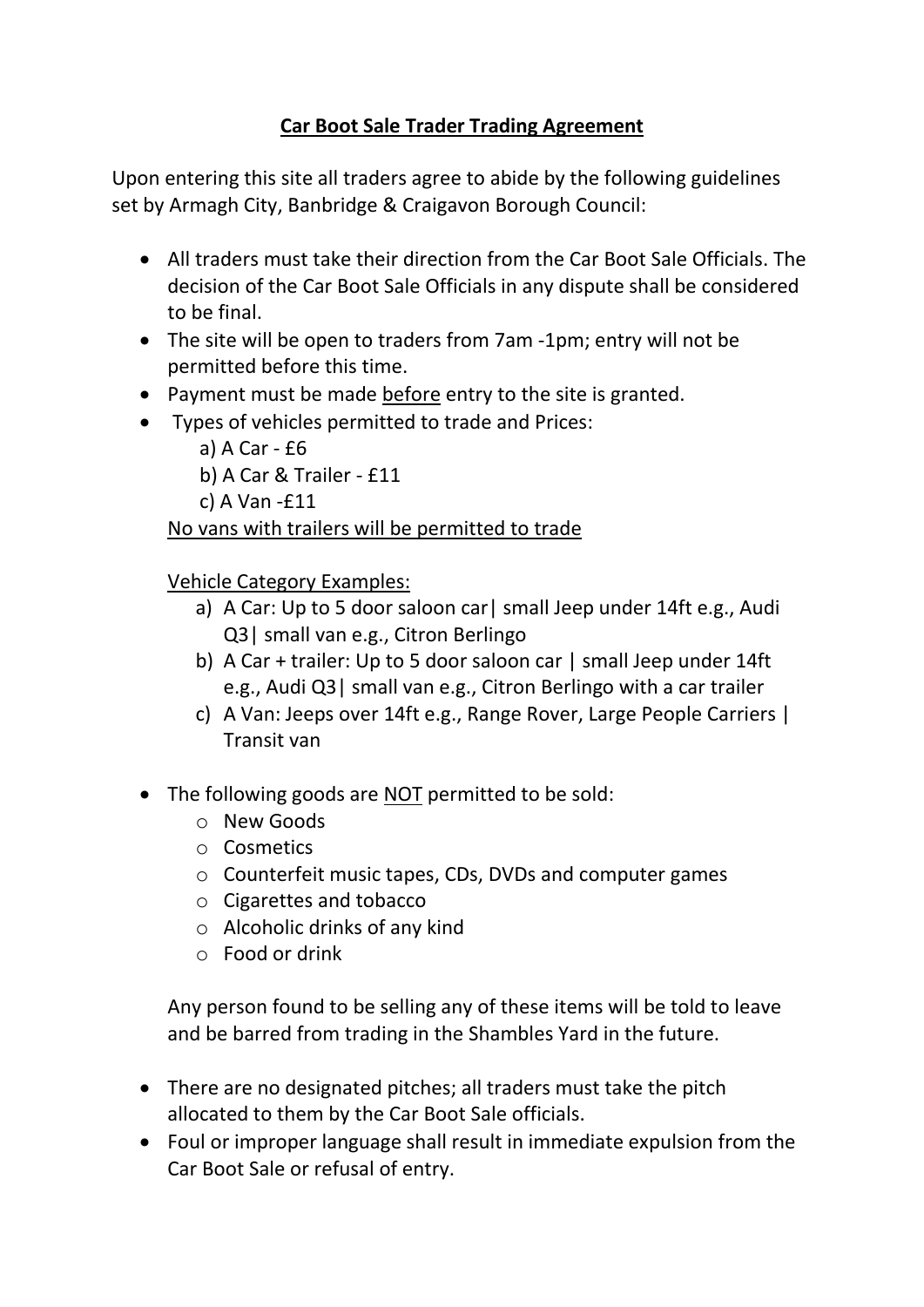## **Car Boot Sale Trader Trading Agreement**

Upon entering this site all traders agree to abide by the following guidelines set by Armagh City, Banbridge & Craigavon Borough Council:

- All traders must take their direction from the Car Boot Sale Officials. The decision of the Car Boot Sale Officials in any dispute shall be considered to be final.
- The site will be open to traders from 7am -1pm; entry will not be permitted before this time.
- Payment must be made before entry to the site is granted.
- Types of vehicles permitted to trade and Prices:
	- a) A Car £6
	- b) A Car & Trailer £11
	- c) A Van -£11

No vans with trailers will be permitted to trade

Vehicle Category Examples:

- a) A Car: Up to 5 door saloon car | small Jeep under 14ft e.g., Audi Q3| small van e.g., Citron Berlingo
- b) A Car + trailer: Up to 5 door saloon car | small Jeep under 14ft e.g., Audi Q3| small van e.g., Citron Berlingo with a car trailer
- c) A Van: Jeeps over 14ft e.g., Range Rover, Large People Carriers | Transit van
- The following goods are NOT permitted to be sold:
	- o New Goods
	- o Cosmetics
	- o Counterfeit music tapes, CDs, DVDs and computer games
	- o Cigarettes and tobacco
	- o Alcoholic drinks of any kind
	- o Food or drink

Any person found to be selling any of these items will be told to leave and be barred from trading in the Shambles Yard in the future.

- There are no designated pitches; all traders must take the pitch allocated to them by the Car Boot Sale officials.
- Foul or improper language shall result in immediate expulsion from the Car Boot Sale or refusal of entry.